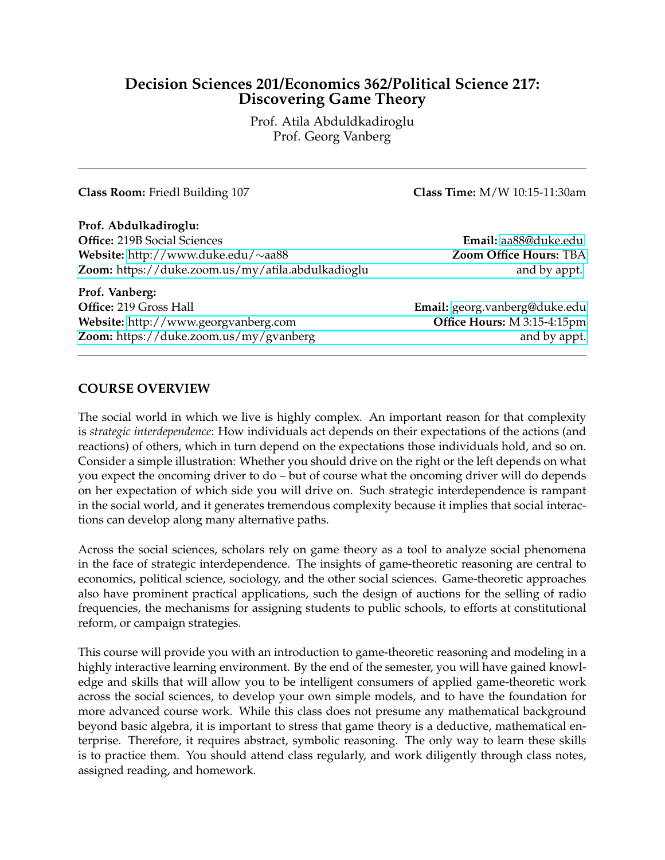# **Decision Sciences 201/Economics 362/Political Science 217: Discovering Game Theory**

Prof. Atila Abduldkadiroglu Prof. Georg Vanberg

**Class Room:** Friedl Building 107 **Class Time:** M/W 10:15-11:30am

**Prof. Abdulkadiroglu: Office:** 219B Social Sciences **Email:** [aa88@duke.edu](mailto:a88@duke.edu) **Website:** [http://www.duke.edu/](http://www.duke.edu/~aa88)∼aa88 **Zoom Office Hours:** TBA **Zoom:** [https://duke.zoom.us/my/atila.abdulkadioglu and by appt.](http://www.duke.edu/~aa88)

**Prof. Vanberg: Office:** 219 Gross Hall **Email:** [georg.vanberg@duke.edu](mailto:georg.vanberg@duke.edu) **Website:** <http://www.georgvanberg.com> **Office Hours:** M 3:15-4:15pm **Zoom:** [https://duke.zoom.us/my/gvanberg and by appt.](http://www.georgvanberg.com)

#### **COURSE OVERVIEW**

The social world in which we live is highly complex. An important reason for that complexity is *strategic interdependence*: How individuals act depends on their expectations of the actions (and reactions) of others, which in turn depend on the expectations those individuals hold, and so on. Consider a simple illustration: Whether you should drive on the right or the left depends on what you expect the oncoming driver to do – but of course what the oncoming driver will do depends on her expectation of which side you will drive on. Such strategic interdependence is rampant in the social world, and it generates tremendous complexity because it implies that social interactions can develop along many alternative paths.

Across the social sciences, scholars rely on game theory as a tool to analyze social phenomena in the face of strategic interdependence. The insights of game-theoretic reasoning are central to economics, political science, sociology, and the other social sciences. Game-theoretic approaches also have prominent practical applications, such the design of auctions for the selling of radio frequencies, the mechanisms for assigning students to public schools, to efforts at constitutional reform, or campaign strategies.

This course will provide you with an introduction to game-theoretic reasoning and modeling in a highly interactive learning environment. By the end of the semester, you will have gained knowledge and skills that will allow you to be intelligent consumers of applied game-theoretic work across the social sciences, to develop your own simple models, and to have the foundation for more advanced course work. While this class does not presume any mathematical background beyond basic algebra, it is important to stress that game theory is a deductive, mathematical enterprise. Therefore, it requires abstract, symbolic reasoning. The only way to learn these skills is to practice them. You should attend class regularly, and work diligently through class notes, assigned reading, and homework.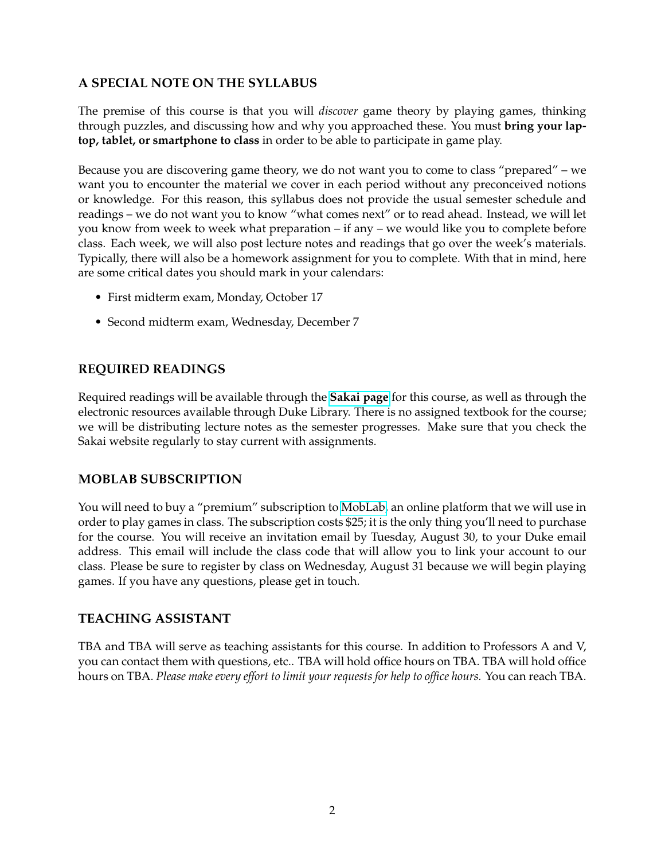# **A SPECIAL NOTE ON THE SYLLABUS**

The premise of this course is that you will *discover* game theory by playing games, thinking through puzzles, and discussing how and why you approached these. You must **bring your laptop, tablet, or smartphone to class** in order to be able to participate in game play.

Because you are discovering game theory, we do not want you to come to class "prepared" – we want you to encounter the material we cover in each period without any preconceived notions or knowledge. For this reason, this syllabus does not provide the usual semester schedule and readings – we do not want you to know "what comes next" or to read ahead. Instead, we will let you know from week to week what preparation – if any – we would like you to complete before class. Each week, we will also post lecture notes and readings that go over the week's materials. Typically, there will also be a homework assignment for you to complete. With that in mind, here are some critical dates you should mark in your calendars:

- First midterm exam, Monday, October 17
- Second midterm exam, Wednesday, December 7

# **REQUIRED READINGS**

Required readings will be available through the **[Sakai page](http://sakai.duke.edu)** for this course, as well as through the electronic resources available through Duke Library. There is no assigned textbook for the course; we will be distributing lecture notes as the semester progresses. Make sure that you check the Sakai website regularly to stay current with assignments.

### **MOBLAB SUBSCRIPTION**

You will need to buy a "premium" subscription to [MobLab,](https://www.moblab.com) an online platform that we will use in order to play games in class. The subscription costs \$25; it is the only thing you'll need to purchase for the course. You will receive an invitation email by Tuesday, August 30, to your Duke email address. This email will include the class code that will allow you to link your account to our class. Please be sure to register by class on Wednesday, August 31 because we will begin playing games. If you have any questions, please get in touch.

### **TEACHING ASSISTANT**

TBA and TBA will serve as teaching assistants for this course. In addition to Professors A and V, you can contact them with questions, etc.. TBA will hold office hours on TBA. TBA will hold office hours on TBA. *Please make every effort to limit your requests for help to office hours.* You can reach TBA.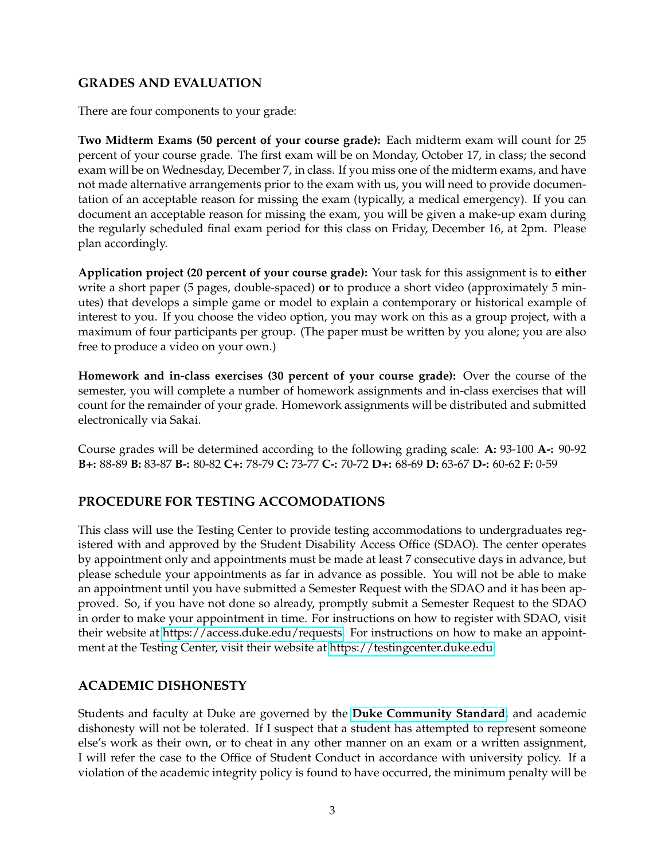## **GRADES AND EVALUATION**

There are four components to your grade:

**Two Midterm Exams (50 percent of your course grade):** Each midterm exam will count for 25 percent of your course grade. The first exam will be on Monday, October 17, in class; the second exam will be on Wednesday, December 7, in class. If you miss one of the midterm exams, and have not made alternative arrangements prior to the exam with us, you will need to provide documentation of an acceptable reason for missing the exam (typically, a medical emergency). If you can document an acceptable reason for missing the exam, you will be given a make-up exam during the regularly scheduled final exam period for this class on Friday, December 16, at 2pm. Please plan accordingly.

**Application project (20 percent of your course grade):** Your task for this assignment is to **either** write a short paper (5 pages, double-spaced) **or** to produce a short video (approximately 5 minutes) that develops a simple game or model to explain a contemporary or historical example of interest to you. If you choose the video option, you may work on this as a group project, with a maximum of four participants per group. (The paper must be written by you alone; you are also free to produce a video on your own.)

**Homework and in-class exercises (30 percent of your course grade):** Over the course of the semester, you will complete a number of homework assignments and in-class exercises that will count for the remainder of your grade. Homework assignments will be distributed and submitted electronically via Sakai.

Course grades will be determined according to the following grading scale: **A:** 93-100 **A-:** 90-92 **B+:** 88-89 **B:** 83-87 **B-:** 80-82 **C+:** 78-79 **C:** 73-77 **C-:** 70-72 **D+:** 68-69 **D:** 63-67 **D-:** 60-62 **F:** 0-59

### **PROCEDURE FOR TESTING ACCOMODATIONS**

This class will use the Testing Center to provide testing accommodations to undergraduates registered with and approved by the Student Disability Access Office (SDAO). The center operates by appointment only and appointments must be made at least 7 consecutive days in advance, but please schedule your appointments as far in advance as possible. You will not be able to make an appointment until you have submitted a Semester Request with the SDAO and it has been approved. So, if you have not done so already, promptly submit a Semester Request to the SDAO in order to make your appointment in time. For instructions on how to register with SDAO, visit their website at [https://access.duke.edu/requests.](https://access.duke.edu/requests) For instructions on how to make an appointment at the Testing Center, visit their website at [https://testingcenter.duke.edu.](https://testingcenter.duke.edu)

#### **ACADEMIC DISHONESTY**

Students and faculty at Duke are governed by the **[Duke Community Standard](http://studentaffairs.duke.edu/conduct/about-us/duke-community-standard)**, and academic dishonesty will not be tolerated. If I suspect that a student has attempted to represent someone else's work as their own, or to cheat in any other manner on an exam or a written assignment, I will refer the case to the Office of Student Conduct in accordance with university policy. If a violation of the academic integrity policy is found to have occurred, the minimum penalty will be